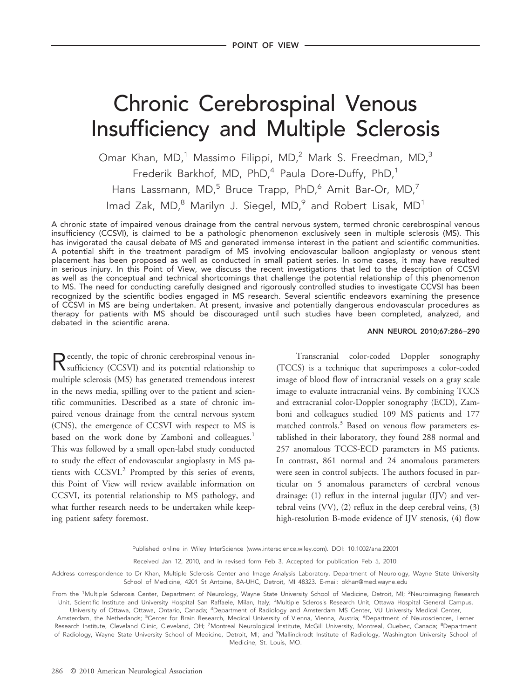## Chronic Cerebrospinal Venous Insufficiency and Multiple Sclerosis

Omar Khan, MD,<sup>1</sup> Massimo Filippi, MD,<sup>2</sup> Mark S. Freedman, MD,<sup>3</sup> Frederik Barkhof, MD, PhD,<sup>4</sup> Paula Dore-Duffy, PhD,<sup>1</sup> Hans Lassmann, MD,<sup>5</sup> Bruce Trapp, PhD,<sup>6</sup> Amit Bar-Or, MD,<sup>7</sup> Imad Zak, MD, $^8$  Marilyn J. Siegel, MD, $^9$  and Robert Lisak, MD<sup>1</sup>

A chronic state of impaired venous drainage from the central nervous system, termed chronic cerebrospinal venous insufficiency (CCSVI), is claimed to be a pathologic phenomenon exclusively seen in multiple sclerosis (MS). This has invigorated the causal debate of MS and generated immense interest in the patient and scientific communities. A potential shift in the treatment paradigm of MS involving endovascular balloon angioplasty or venous stent placement has been proposed as well as conducted in small patient series. In some cases, it may have resulted in serious injury. In this Point of View, we discuss the recent investigations that led to the description of CCSVI as well as the conceptual and technical shortcomings that challenge the potential relationship of this phenomenon to MS. The need for conducting carefully designed and rigorously controlled studies to investigate CCVSI has been recognized by the scientific bodies engaged in MS research. Several scientific endeavors examining the presence of CCSVI in MS are being undertaken. At present, invasive and potentially dangerous endovascular procedures as therapy for patients with MS should be discouraged until such studies have been completed, analyzed, and debated in the scientific arena.

## ANN NEUROL 2010;67:286 –290

Recently, the topic of chronic cerebrospinal venous in-<br>
Sufficiency (CCSVI) and its potential relationship to multiple sclerosis (MS) has generated tremendous interest in the news media, spilling over to the patient and scientific communities. Described as a state of chronic impaired venous drainage from the central nervous system (CNS), the emergence of CCSVI with respect to MS is based on the work done by Zamboni and colleagues.<sup>1</sup> This was followed by a small open-label study conducted to study the effect of endovascular angioplasty in MS patients with CCSVI.<sup>2</sup> Prompted by this series of events, this Point of View will review available information on CCSVI, its potential relationship to MS pathology, and what further research needs to be undertaken while keeping patient safety foremost.

Transcranial color-coded Doppler sonography (TCCS) is a technique that superimposes a color-coded image of blood flow of intracranial vessels on a gray scale image to evaluate intracranial veins. By combining TCCS and extracranial color-Doppler sonography (ECD), Zamboni and colleagues studied 109 MS patients and 177 matched controls.<sup>3</sup> Based on venous flow parameters established in their laboratory, they found 288 normal and 257 anomalous TCCS-ECD parameters in MS patients. In contrast, 861 normal and 24 anomalous parameters were seen in control subjects. The authors focused in particular on 5 anomalous parameters of cerebral venous drainage: (1) reflux in the internal jugular (IJV) and vertebral veins (VV), (2) reflux in the deep cerebral veins, (3) high-resolution B-mode evidence of IJV stenosis, (4) flow

Published online in Wiley InterScience (www.interscience.wiley.com). DOI: 10.1002/ana.22001

Received Jan 12, 2010, and in revised form Feb 3. Accepted for publication Feb 5, 2010.

Address correspondence to Dr Khan, Multiple Sclerosis Center and Image Analysis Laboratory, Department of Neurology, Wayne State University School of Medicine, 4201 St Antoine, 8A-UHC, Detroit, MI 48323. E-mail: okhan@med.wayne.edu

From the <sup>1</sup>Multiple Sclerosis Center, Department of Neurology, Wayne State University School of Medicine, Detroit, MI; <sup>2</sup>Neuroimaging Research Unit, Scientific Institute and University Hospital San Raffaele, Milan, Italy; <sup>3</sup>Multiple Sclerosis Research Unit, Ottawa Hospital General Campus, University of Ottawa, Ottawa, Ontario, Canada; <sup>4</sup>Department of Radiology and Amsterdam MS Center, VU University Medical Center,

Amsterdam, the Netherlands; <sup>5</sup>Center for Brain Research, Medical University of Vienna, Vienna, Austria; <sup>6</sup>Department of Neurosciences, Lerner Research Institute, Cleveland Clinic, Cleveland, OH; <sup>7</sup>Montreal Neurological Institute, McGill University, Montreal, Quebec, Canada; <sup>8</sup>Department of Radiology, Wayne State University School of Medicine, Detroit, MI; and <sup>9</sup>Mallinckrodt Institute of Radiology, Washington University School of Medicine, St. Louis, MO.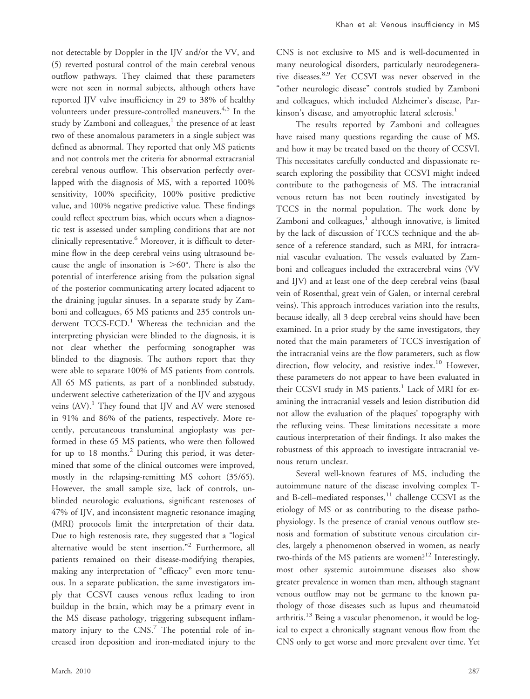not detectable by Doppler in the IJV and/or the VV, and (5) reverted postural control of the main cerebral venous outflow pathways. They claimed that these parameters were not seen in normal subjects, although others have reported IJV valve insufficiency in 29 to 38% of healthy volunteers under pressure-controlled maneuvers.<sup>4,5</sup> In the study by Zamboni and colleagues, $<sup>1</sup>$  the presence of at least</sup> two of these anomalous parameters in a single subject was defined as abnormal. They reported that only MS patients and not controls met the criteria for abnormal extracranial cerebral venous outflow. This observation perfectly overlapped with the diagnosis of MS, with a reported 100% sensitivity, 100% specificity, 100% positive predictive value, and 100% negative predictive value. These findings could reflect spectrum bias, which occurs when a diagnostic test is assessed under sampling conditions that are not clinically representative.<sup>6</sup> Moreover, it is difficult to determine flow in the deep cerebral veins using ultrasound because the angle of insonation is  $>60^{\circ}$ . There is also the potential of interference arising from the pulsation signal of the posterior communicating artery located adjacent to the draining jugular sinuses. In a separate study by Zamboni and colleagues, 65 MS patients and 235 controls underwent TCCS-ECD.<sup>1</sup> Whereas the technician and the interpreting physician were blinded to the diagnosis, it is not clear whether the performing sonographer was blinded to the diagnosis. The authors report that they were able to separate 100% of MS patients from controls. All 65 MS patients, as part of a nonblinded substudy, underwent selective catheterization of the IJV and azygous veins (AV).<sup>1</sup> They found that IJV and AV were stenosed in 91% and 86% of the patients, respectively. More recently, percutaneous transluminal angioplasty was performed in these 65 MS patients, who were then followed for up to  $18$  months.<sup>2</sup> During this period, it was determined that some of the clinical outcomes were improved, mostly in the relapsing-remitting MS cohort (35/65). However, the small sample size, lack of controls, unblinded neurologic evaluations, significant restenoses of 47% of IJV, and inconsistent magnetic resonance imaging (MRI) protocols limit the interpretation of their data. Due to high restenosis rate, they suggested that a "logical alternative would be stent insertion."2 Furthermore, all patients remained on their disease-modifying therapies, making any interpretation of "efficacy" even more tenuous. In a separate publication, the same investigators imply that CCSVI causes venous reflux leading to iron buildup in the brain, which may be a primary event in the MS disease pathology, triggering subsequent inflammatory injury to the  $CNS<sup>7</sup>$ . The potential role of increased iron deposition and iron-mediated injury to the

CNS is not exclusive to MS and is well-documented in many neurological disorders, particularly neurodegenerative diseases.<sup>8,9</sup> Yet CCSVI was never observed in the "other neurologic disease" controls studied by Zamboni and colleagues, which included Alzheimer's disease, Parkinson's disease, and amyotrophic lateral sclerosis.<sup>1</sup>

The results reported by Zamboni and colleagues have raised many questions regarding the cause of MS, and how it may be treated based on the theory of CCSVI. This necessitates carefully conducted and dispassionate research exploring the possibility that CCSVI might indeed contribute to the pathogenesis of MS. The intracranial venous return has not been routinely investigated by TCCS in the normal population. The work done by Zamboni and colleagues, $<sup>1</sup>$  although innovative, is limited</sup> by the lack of discussion of TCCS technique and the absence of a reference standard, such as MRI, for intracranial vascular evaluation. The vessels evaluated by Zamboni and colleagues included the extracerebral veins (VV and IJV) and at least one of the deep cerebral veins (basal vein of Rosenthal, great vein of Galen, or internal cerebral veins). This approach introduces variation into the results, because ideally, all 3 deep cerebral veins should have been examined. In a prior study by the same investigators, they noted that the main parameters of TCCS investigation of the intracranial veins are the flow parameters, such as flow direction, flow velocity, and resistive index.<sup>10</sup> However, these parameters do not appear to have been evaluated in their CCSVI study in MS patients.<sup>1</sup> Lack of MRI for examining the intracranial vessels and lesion distribution did not allow the evaluation of the plaques' topography with the refluxing veins. These limitations necessitate a more cautious interpretation of their findings. It also makes the robustness of this approach to investigate intracranial venous return unclear.

Several well-known features of MS, including the autoimmune nature of the disease involving complex Tand B-cell–mediated responses, $11$  challenge CCSVI as the etiology of MS or as contributing to the disease pathophysiology. Is the presence of cranial venous outflow stenosis and formation of substitute venous circulation circles, largely a phenomenon observed in women, as nearly two-thirds of the MS patients are women?<sup>12</sup> Interestingly, most other systemic autoimmune diseases also show greater prevalence in women than men, although stagnant venous outflow may not be germane to the known pathology of those diseases such as lupus and rheumatoid arthritis.<sup>13</sup> Being a vascular phenomenon, it would be logical to expect a chronically stagnant venous flow from the CNS only to get worse and more prevalent over time. Yet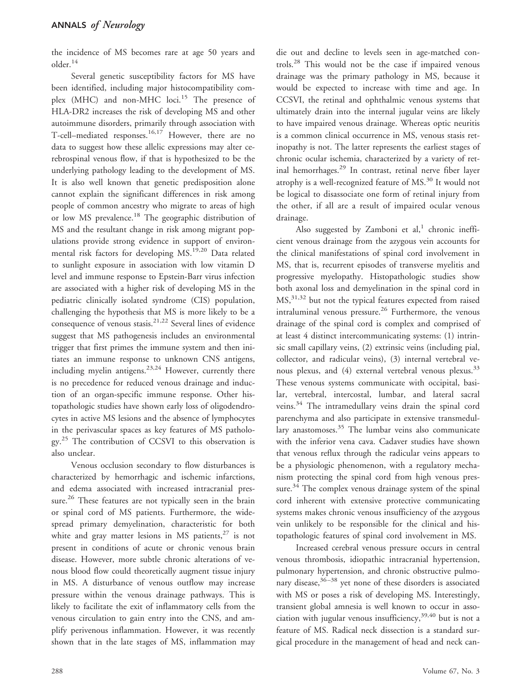the incidence of MS becomes rare at age 50 years and older.14

Several genetic susceptibility factors for MS have been identified, including major histocompatibility complex (MHC) and non-MHC loci.<sup>15</sup> The presence of HLA-DR2 increases the risk of developing MS and other autoimmune disorders, primarily through association with T-cell–mediated responses.16,17 However, there are no data to suggest how these allelic expressions may alter cerebrospinal venous flow, if that is hypothesized to be the underlying pathology leading to the development of MS. It is also well known that genetic predisposition alone cannot explain the significant differences in risk among people of common ancestry who migrate to areas of high or low MS prevalence.<sup>18</sup> The geographic distribution of MS and the resultant change in risk among migrant populations provide strong evidence in support of environmental risk factors for developing MS.<sup>19,20</sup> Data related to sunlight exposure in association with low vitamin D level and immune response to Epstein-Barr virus infection are associated with a higher risk of developing MS in the pediatric clinically isolated syndrome (CIS) population, challenging the hypothesis that MS is more likely to be a consequence of venous stasis.<sup>21,22</sup> Several lines of evidence suggest that MS pathogenesis includes an environmental trigger that first primes the immune system and then initiates an immune response to unknown CNS antigens, including myelin antigens. $23,24$  However, currently there is no precedence for reduced venous drainage and induction of an organ-specific immune response. Other histopathologic studies have shown early loss of oligodendrocytes in active MS lesions and the absence of lymphocytes in the perivascular spaces as key features of MS pathology.25 The contribution of CCSVI to this observation is also unclear.

Venous occlusion secondary to flow disturbances is characterized by hemorrhagic and ischemic infarctions, and edema associated with increased intracranial pressure.<sup>26</sup> These features are not typically seen in the brain or spinal cord of MS patients. Furthermore, the widespread primary demyelination, characteristic for both white and gray matter lesions in MS patients, $27$  is not present in conditions of acute or chronic venous brain disease. However, more subtle chronic alterations of venous blood flow could theoretically augment tissue injury in MS. A disturbance of venous outflow may increase pressure within the venous drainage pathways. This is likely to facilitate the exit of inflammatory cells from the venous circulation to gain entry into the CNS, and amplify perivenous inflammation. However, it was recently shown that in the late stages of MS, inflammation may

die out and decline to levels seen in age-matched controls.28 This would not be the case if impaired venous drainage was the primary pathology in MS, because it would be expected to increase with time and age. In CCSVI, the retinal and ophthalmic venous systems that ultimately drain into the internal jugular veins are likely to have impaired venous drainage. Whereas optic neuritis is a common clinical occurrence in MS, venous stasis retinopathy is not. The latter represents the earliest stages of chronic ocular ischemia, characterized by a variety of retinal hemorrhages.29 In contrast, retinal nerve fiber layer atrophy is a well-recognized feature of MS.<sup>30</sup> It would not be logical to disassociate one form of retinal injury from the other, if all are a result of impaired ocular venous drainage.

Also suggested by Zamboni et  $al, 1$  chronic inefficient venous drainage from the azygous vein accounts for the clinical manifestations of spinal cord involvement in MS, that is, recurrent episodes of transverse myelitis and progressive myelopathy. Histopathologic studies show both axonal loss and demyelination in the spinal cord in MS,<sup>31,32</sup> but not the typical features expected from raised intraluminal venous pressure.<sup>26</sup> Furthermore, the venous drainage of the spinal cord is complex and comprised of at least 4 distinct intercommunicating systems: (1) intrinsic small capillary veins, (2) extrinsic veins (including pial, collector, and radicular veins), (3) internal vertebral venous plexus, and (4) external vertebral venous plexus.<sup>33</sup> These venous systems communicate with occipital, basilar, vertebral, intercostal, lumbar, and lateral sacral veins.34 The intramedullary veins drain the spinal cord parenchyma and also participate in extensive transmedullary anastomoses.<sup>35</sup> The lumbar veins also communicate with the inferior vena cava. Cadaver studies have shown that venous reflux through the radicular veins appears to be a physiologic phenomenon, with a regulatory mechanism protecting the spinal cord from high venous pressure.<sup>34</sup> The complex venous drainage system of the spinal cord inherent with extensive protective communicating systems makes chronic venous insufficiency of the azygous vein unlikely to be responsible for the clinical and histopathologic features of spinal cord involvement in MS.

Increased cerebral venous pressure occurs in central venous thrombosis, idiopathic intracranial hypertension, pulmonary hypertension, and chronic obstructive pulmonary disease,  $36 - 38$  yet none of these disorders is associated with MS or poses a risk of developing MS. Interestingly, transient global amnesia is well known to occur in association with jugular venous insufficiency,  $39,40$  but is not a feature of MS. Radical neck dissection is a standard surgical procedure in the management of head and neck can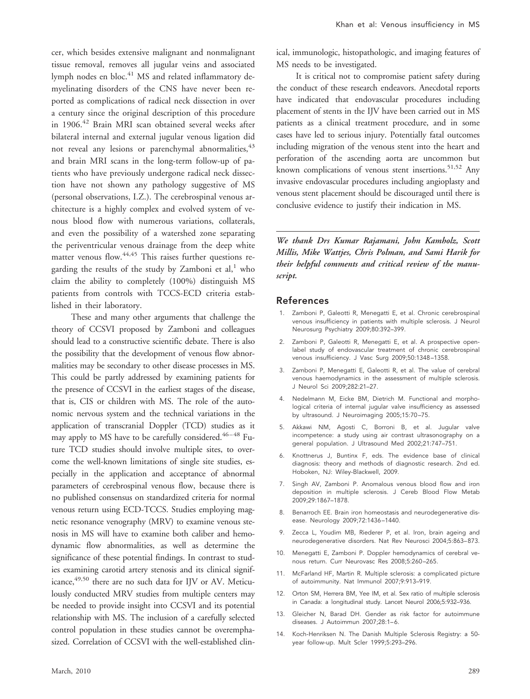cer, which besides extensive malignant and nonmalignant tissue removal, removes all jugular veins and associated lymph nodes en bloc.<sup>41</sup> MS and related inflammatory demyelinating disorders of the CNS have never been reported as complications of radical neck dissection in over a century since the original description of this procedure in 1906.<sup>42</sup> Brain MRI scan obtained several weeks after bilateral internal and external jugular venous ligation did not reveal any lesions or parenchymal abnormalities, <sup>43</sup> and brain MRI scans in the long-term follow-up of patients who have previously undergone radical neck dissection have not shown any pathology suggestive of MS (personal observations, I.Z.). The cerebrospinal venous architecture is a highly complex and evolved system of venous blood flow with numerous variations, collaterals, and even the possibility of a watershed zone separating the periventricular venous drainage from the deep white matter venous flow.<sup>44,45</sup> This raises further questions regarding the results of the study by Zamboni et  $al,^1$  who claim the ability to completely (100%) distinguish MS patients from controls with TCCS-ECD criteria established in their laboratory.

These and many other arguments that challenge the theory of CCSVI proposed by Zamboni and colleagues should lead to a constructive scientific debate. There is also the possibility that the development of venous flow abnormalities may be secondary to other disease processes in MS. This could be partly addressed by examining patients for the presence of CCSVI in the earliest stages of the disease, that is, CIS or children with MS. The role of the autonomic nervous system and the technical variations in the application of transcranial Doppler (TCD) studies as it may apply to MS have to be carefully considered.<sup>46-48</sup> Future TCD studies should involve multiple sites, to overcome the well-known limitations of single site studies, especially in the application and acceptance of abnormal parameters of cerebrospinal venous flow, because there is no published consensus on standardized criteria for normal venous return using ECD-TCCS. Studies employing magnetic resonance venography (MRV) to examine venous stenosis in MS will have to examine both caliber and hemodynamic flow abnormalities, as well as determine the significance of these potential findings. In contrast to studies examining carotid artery stenosis and its clinical significance,<sup>49,50</sup> there are no such data for IJV or AV. Meticulously conducted MRV studies from multiple centers may be needed to provide insight into CCSVI and its potential relationship with MS. The inclusion of a carefully selected control population in these studies cannot be overemphasized. Correlation of CCSVI with the well-established clinical, immunologic, histopathologic, and imaging features of MS needs to be investigated.

It is critical not to compromise patient safety during the conduct of these research endeavors. Anecdotal reports have indicated that endovascular procedures including placement of stents in the IJV have been carried out in MS patients as a clinical treatment procedure, and in some cases have led to serious injury. Potentially fatal outcomes including migration of the venous stent into the heart and perforation of the ascending aorta are uncommon but known complications of venous stent insertions.<sup>51,52</sup> Any invasive endovascular procedures including angioplasty and venous stent placement should be discouraged until there is conclusive evidence to justify their indication in MS.

*We thank Drs Kumar Rajamani, John Kamholz, Scott Millis, Mike Wattjes, Chris Polman, and Sami Harik for their helpful comments and critical review of the manuscript.*

## References

- 1. Zamboni P, Galeotti R, Menegatti E, et al. Chronic cerebrospinal venous insufficiency in patients with multiple sclerosis. J Neurol Neurosurg Psychiatry 2009;80:392–399.
- 2. Zamboni P, Galeotti R, Menegatti E, et al. A prospective openlabel study of endovascular treatment of chronic cerebrospinal venous insufficiency. J Vasc Surg 2009;50:1348 –1358.
- 3. Zamboni P, Menegatti E, Galeotti R, et al. The value of cerebral venous haemodynamics in the assessment of multiple sclerosis. J Neurol Sci 2009;282:21–27.
- 4. Nedelmann M, Eicke BM, Dietrich M. Functional and morphological criteria of internal jugular valve insufficiency as assessed by ultrasound. J Neuroimaging 2005;15:70 –75.
- 5. Akkawi NM, Agosti C, Borroni B, et al. Jugular valve incompetence: a study using air contrast ultrasonography on a general population. J Ultrasound Med 2002;21:747–751.
- 6. Knottnerus J, Buntinx F, eds. The evidence base of clinical diagnosis: theory and methods of diagnostic research. 2nd ed. Hoboken, NJ: Wiley-Blackwell, 2009.
- 7. Singh AV, Zamboni P. Anomalous venous blood flow and iron deposition in multiple sclerosis. J Cereb Blood Flow Metab 2009;29:1867–1878.
- 8. Benarroch EE. Brain iron homeostasis and neurodegenerative disease. Neurology 2009;72:1436 –1440.
- 9. Zecca L, Youdim MB, Riederer P, et al. Iron, brain ageing and neurodegenerative disorders. Nat Rev Neurosci 2004;5:863– 873.
- 10. Menegatti E, Zamboni P. Doppler hemodynamics of cerebral venous return. Curr Neurovasc Res 2008;5:260 –265.
- 11. McFarland HF, Martin R. Multiple sclerosis: a complicated picture of autoimmunity. Nat Immunol 2007;9:913–919.
- 12. Orton SM, Herrera BM, Yee IM, et al. Sex ratio of multiple sclerosis in Canada: a longitudinal study. Lancet Neurol 2006;5:932–936.
- 13. Gleicher N, Barad DH. Gender as risk factor for autoimmune diseases. J Autoimmun 2007;28:1-6.
- 14. Koch-Henriksen N. The Danish Multiple Sclerosis Registry: a 50 year follow-up. Mult Scler 1999;5:293–296.